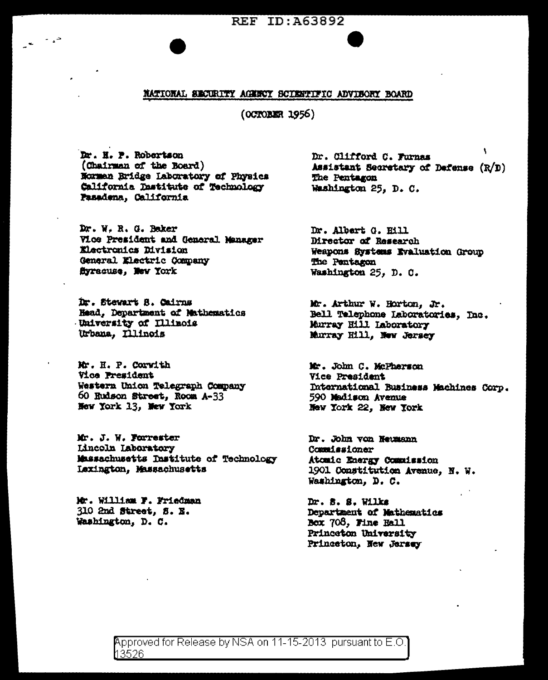REF ID: A63892

# NATIONAL SECURITY AGENCY SCIENTIFIC ADVISORY BOARD

(OCTOBER 1956)

Dr. H. P. Robertson (Chairman of the Board) Norman Bridge Laboratory of Physics California Dastitute of Technology Pasadena, California

Dr. W. R. G. Baker Vice President and General Manager Electronics Division General Electric Company Syracuse, New York

Dr. Stewart S. Cairns Head, Department of Mathematics University of Illinois Urbana, Illinois

Mr. H. P. Corwith **Vice President** Western Union Telegraph Company 60 Rudson Street, Room A-33 New York 13, New York

Mr. J. W. Forrester **Lincoln Laboratory** Massachusetts Institute of Technology Lexington, Massachusetts

Mr. William F. Friedman 310 2nd Street, S. E. Washington, D. C.

Dr. Clifford C. Furnas Assistant Secretary of Defense (R/D) The Pentagon Washington 25, D. C.

Dr. Albert G. Hill Director of Research Weapons Systems Evaluation Group The Pentagon Washington 25, D. C.

Mr. Arthur W. Horton, Jr. Bell Telephone Laboratories, Inc. Murray Hill Laboratory Murray Hill. New Jersey

Mr. John C. McPherson Vice President International Business Machines Corp. 590 Madison Avenue New York 22, New York

Dr. John von Neumann Commissioner Atomic Energy Commission 1901 Constitution Avenue, N. W. Washington, D. C.

 $Dr. 8. 8. 11ks$ Department of Mathematics Box 708, Fine Hall Princeton University Princeton, New Jersey

Approved for Release by NSA on 11-15-2013 pursuant to E.O 13526